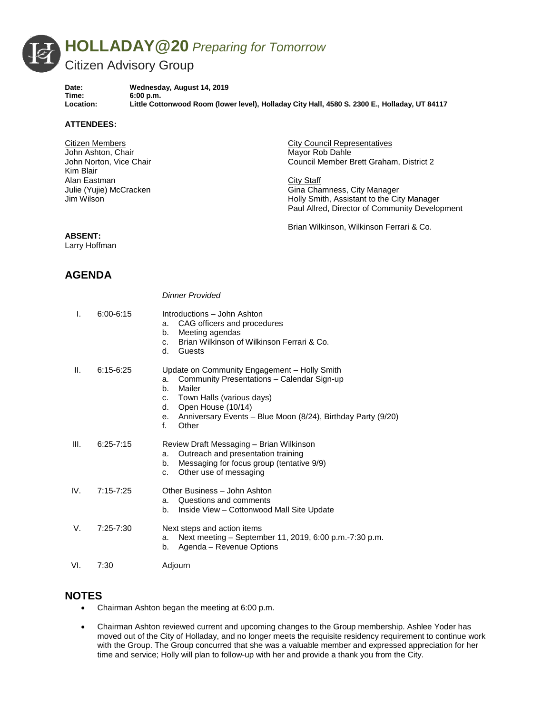

*Dinner Provided*

Time: 6:00 p.m.<br>
Location: Little Cott

Date: Wednesday, August 14, 2019<br>Time: 6:00 p.m. **Location: Little Cottonwood Room (lower level), Holladay City Hall, 4580 S. 2300 E., Holladay, UT 84117**

#### **ATTENDEES:**

Citizen Members John Ashton, Chair John Norton, Vice Chair Kim Blair Alan Eastman Julie (Yujie) McCracken Jim Wilson

City Council Representatives Mayor Rob Dahle Council Member Brett Graham, District 2

City Staff Gina Chamness, City Manager Holly Smith, Assistant to the City Manager Paul Allred, Director of Community Development

Brian Wilkinson, Wilkinson Ferrari & Co.

### **ABSENT:**

Larry Hoffman

# **AGENDA**

|      |               | טטאוער ו וטווע                                                                                                                                                                                                                                                       |
|------|---------------|----------------------------------------------------------------------------------------------------------------------------------------------------------------------------------------------------------------------------------------------------------------------|
| I.   | $6:00 - 6:15$ | Introductions - John Ashton<br>CAG officers and procedures<br>a.<br>Meeting agendas<br>b.<br>Brian Wilkinson of Wilkinson Ferrari & Co.<br>C.<br>d.<br>Guests                                                                                                        |
| Ш.   | $6:15-6:25$   | Update on Community Engagement - Holly Smith<br>Community Presentations - Calendar Sign-up<br>a.<br>Mailer<br>b.<br>Town Halls (various days)<br>c.<br>Open House (10/14)<br>d.<br>Anniversary Events - Blue Moon (8/24), Birthday Party (9/20)<br>е.<br>f.<br>Other |
| III. | $6:25 - 7:15$ | Review Draft Messaging - Brian Wilkinson<br>Outreach and presentation training<br>a.<br>Messaging for focus group (tentative 9/9)<br>b.<br>Other use of messaging<br>C.                                                                                              |
| IV.  | $7:15 - 7:25$ | Other Business - John Ashton<br>Questions and comments<br>a.<br>Inside View – Cottonwood Mall Site Update<br>b.                                                                                                                                                      |
| V.   | 7:25-7:30     | Next steps and action items<br>Next meeting - September 11, 2019, 6:00 p.m.-7:30 p.m.<br>a.<br>Agenda - Revenue Options<br>b.                                                                                                                                        |
| VI.  | 7:30          | Adjourn                                                                                                                                                                                                                                                              |

#### **NOTES**

- Chairman Ashton began the meeting at 6:00 p.m.
- Chairman Ashton reviewed current and upcoming changes to the Group membership. Ashlee Yoder has moved out of the City of Holladay, and no longer meets the requisite residency requirement to continue work with the Group. The Group concurred that she was a valuable member and expressed appreciation for her time and service; Holly will plan to follow-up with her and provide a thank you from the City.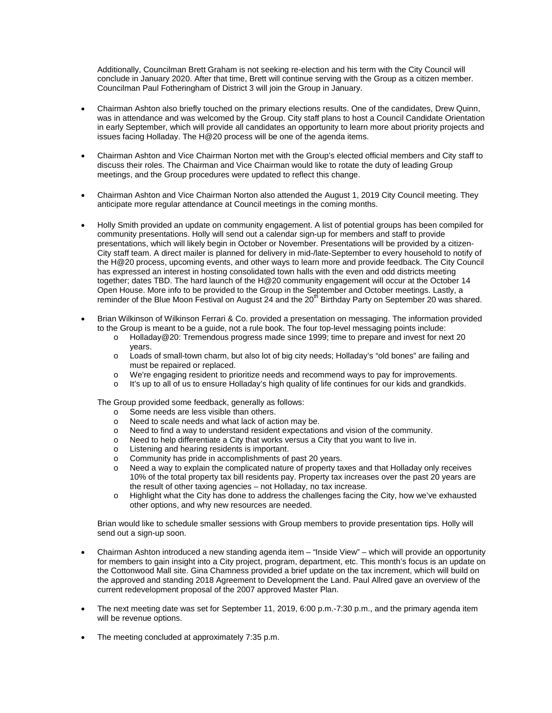Additionally, Councilman Brett Graham is not seeking re-election and his term with the City Council will conclude in January 2020. After that time, Brett will continue serving with the Group as a citizen member. Councilman Paul Fotheringham of District 3 will join the Group in January.

- Chairman Ashton also briefly touched on the primary elections results. One of the candidates, Drew Quinn, was in attendance and was welcomed by the Group. City staff plans to host a Council Candidate Orientation in early September, which will provide all candidates an opportunity to learn more about priority projects and issues facing Holladay. The H@20 process will be one of the agenda items.
- Chairman Ashton and Vice Chairman Norton met with the Group's elected official members and City staff to discuss their roles. The Chairman and Vice Chairman would like to rotate the duty of leading Group meetings, and the Group procedures were updated to reflect this change.
- Chairman Ashton and Vice Chairman Norton also attended the August 1, 2019 City Council meeting. They anticipate more regular attendance at Council meetings in the coming months.
- Holly Smith provided an update on community engagement. A list of potential groups has been compiled for community presentations. Holly will send out a calendar sign-up for members and staff to provide presentations, which will likely begin in October or November. Presentations will be provided by a citizen-City staff team. A direct mailer is planned for delivery in mid-/late-September to every household to notify of the H@20 process, upcoming events, and other ways to learn more and provide feedback. The City Council has expressed an interest in hosting consolidated town halls with the even and odd districts meeting together; dates TBD. The hard launch of the H@20 community engagement will occur at the October 14 Open House. More info to be provided to the Group in the September and October meetings. Lastly, a reminder of the Blue Moon Festival on August 24 and the 20<sup>th</sup> Birthday Party on September 20 was shared.
- Brian Wilkinson of Wilkinson Ferrari & Co. provided a presentation on messaging. The information provided to the Group is meant to be a guide, not a rule book. The four top-level messaging points include:
	- o Holladay@20: Tremendous progress made since 1999; time to prepare and invest for next 20 years.
	- o Loads of small-town charm, but also lot of big city needs; Holladay's "old bones" are failing and must be repaired or replaced.
	- o We're engaging resident to prioritize needs and recommend ways to pay for improvements.<br>
	o It's up to all of us to ensure Holladay's high quality of life continues for our kids and grandkid
	- It's up to all of us to ensure Holladay's high quality of life continues for our kids and grandkids.

The Group provided some feedback, generally as follows:

- o Some needs are less visible than others.<br>
Need to scale needs and what lack of act
- $\circ$  Need to scale needs and what lack of action may be.<br> $\circ$  Need to find a way to understand resident expectation
- $\circ$  Need to find a way to understand resident expectations and vision of the community.<br>
Need to help differentiate a City that works versus a City that you want to live in.
- $\circ$  Need to help differentiate a City that works versus a City that you want to live in.<br> $\circ$  I istening and hearing residents is important
- o Listening and hearing residents is important.<br>
c Community has pride in accomplishments of
- $\circ$  Community has pride in accomplishments of past 20 years.<br>  $\circ$  Need a way to explain the complicated nature of property ta
- Need a way to explain the complicated nature of property taxes and that Holladay only receives 10% of the total property tax bill residents pay. Property tax increases over the past 20 years are the result of other taxing agencies – not Holladay, no tax increase.
- o Highlight what the City has done to address the challenges facing the City, how we've exhausted other options, and why new resources are needed.

Brian would like to schedule smaller sessions with Group members to provide presentation tips. Holly will send out a sign-up soon.

- Chairman Ashton introduced a new standing agenda item "Inside View" which will provide an opportunity for members to gain insight into a City project, program, department, etc. This month's focus is an update on the Cottonwood Mall site. Gina Chamness provided a brief update on the tax increment, which will build on the approved and standing 2018 Agreement to Development the Land. Paul Allred gave an overview of the current redevelopment proposal of the 2007 approved Master Plan.
- The next meeting date was set for September 11, 2019, 6:00 p.m.-7:30 p.m., and the primary agenda item will be revenue options.
- The meeting concluded at approximately 7:35 p.m.